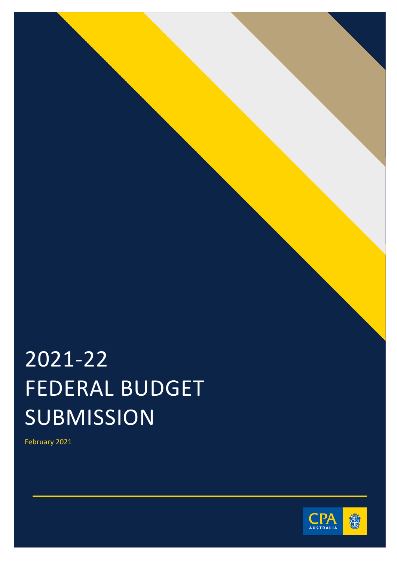# 2021-22 FEDERAL BUDGET SUBMISSION

February 2021

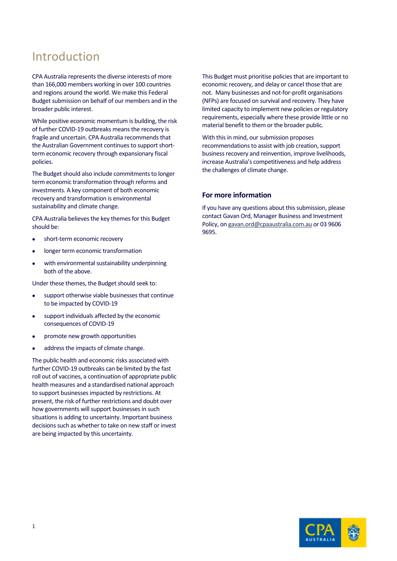## Introduction

CPA Australia represents the diverse interests of more than 166,000 members working in over 100 countries and regions around the world. We make this Federal Budget submission on behalf of our members and in the broader public interest.

While positive economic momentum is building, the risk of further COVID-19 outbreaks means the recovery is fragile and uncertain. CPA Australia recommends that the Australian Government continues to support shortterm economic recovery through expansionary fiscal policies.

The Budget should also include commitments to longer term economic transformation through reforms and investments. A key component of both economic recovery and transformation is environmental sustainability and climate change.

CPA Australia believes the key themes for this Budget should be:

- short-term economic recovery
- longer term economic transformation
- with environmental sustainability underpinning both of the above.

Under these themes, the Budget should seek to:

- support otherwise viable businesses that continue to be impacted by COVID-19
- support individuals affected by the economic consequences of COVID-19
- promote new growth opportunities
- address the impacts of climate change.

The public health and economic risks associated with further COVID-19 outbreaks can be limited by the fast roll out of vaccines, a continuation of appropriate public health measures and a standardised national approach to support businesses impacted by restrictions. At present, the risk of further restrictions and doubt over how governments will support businesses in such situations is adding to uncertainty. Important business decisions such as whether to take on new staff or invest are being impacted by this uncertainty.

This Budget must prioritise policies that are important to economic recovery, and delay or cancel those that are not. Many businesses and not-for-profit organisations (NFPs) are focused on survival and recovery. They have limited capacity to implement new policies or regulatory requirements, especially where these provide little or no material benefit to them or the broader public.

With this in mind, our submission proposes recommendations to assist with job creation, support business recovery and reinvention, improve livelihoods, increase Australia's competitiveness and help address the challenges of climate change.

#### **For more information**

If you have any questions about this submission, please contact Gavan Ord, Manager Business and Investment Policy, o[n gavan.ord@cpaaustralia.com.au](mailto:gavan.ord@cpaaustralia.com.au) or 03 9606 9695.

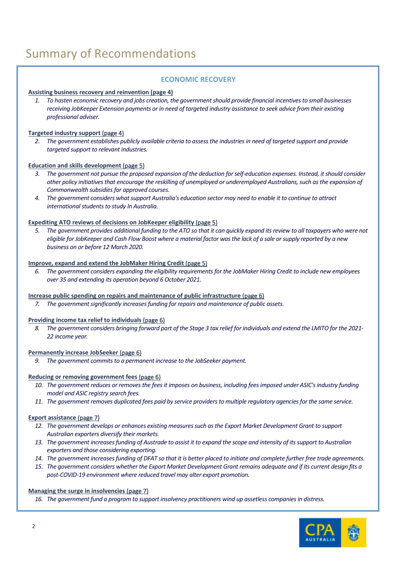# Summary of Recommendations

#### **ECONOMIC RECOVERY**

#### **[Assisting business recovery](#page-4-0) and reinvention (page 4)**

*1. To hasten economic recovery and jobs creation, the government should provide financial incentives to small businesses receiving JobKeeper Extension payments or in need of targeted industry assistance to seek advice from their existing professional adviser.*

#### **[Targeted industry support](#page-4-1)** (page 4)

*2. The government establishes publicly available criteria to assess the industries in need of targeted support and provide targeted support to relevant industries.*

#### **[Education and skills development](#page-5-0)** (page 5)

- *3. The government not pursue the proposed expansion of the deduction for self-education expenses. Instead, it should consider other policy initiatives that encourage the reskilling of unemployed or underemployed Australians, such as the expansion of Commonwealth subsidies for approved courses.*
- *4. The government considers what support Australia's education sector may need to enable it to continue to attract international students to study In Australia.*

#### **[Expediting ATO reviews of decisions on JobKeeper eligibility](#page-5-1) (page 5)**

*5. The government provides additional funding to the ATO so that it can quickly expand its review to all taxpayers who were not eligible for JobKeeper and Cash Flow Boost where a material factor was the lack of a sale or supply reported by a new business on or before 12 March 2020.*

#### **[Improve, expand and extend the JobMaker Hiring Credit](#page-5-2)** (page 5)

*6. The government considers expanding the eligibility requirements for the JobMaker Hiring Credit to include new employees over 35 and extending its operation beyond 6 October 2021.*

#### **[Increase public spending on repairs and maintenance of public infrastructure](#page-6-0)** (page 6)

*7. The government significantly increases funding for repairs and maintenance of public assets.*

#### **[Providing income tax relief to individuals](#page-6-1)** (page 6)

*8. The government considers bringing forward part of the Stage 3 tax relief for individuals and extend the LMITO for the 2021- 22 income year.*

#### **[Permanently increase JobSeeker](#page-6-2)** (page 6)

*9. The government commits to a permanent increase to the JobSeeker payment.*

#### **[Reducing or removing government fees](#page-6-3)** (page 6)

- *10. The government reduces or removes the fees it imposes on business, including fees imposed under ASIC's industry funding model and ASIC registry search fees.*
- *11. The government removes duplicated fees paid by service providers to multiple regulatory agencies for the same service.*

#### **[Export assistance](#page-7-0)** (page 7)

- *12. The government develops or enhances existing measures such as the Export Market Development Grant to support Australian exporters diversify their markets.*
- *13. The government increases funding of Austrade to assist it to expand the scope and intensity of its support to Australian exporters and those considering exporting.*
- *14. The government increases funding of DFAT so that it is better placed to initiate and complete further free trade agreements.*
- *15. The government considers whether the Export Market Development Grant remains adequate and if its current design fits a post-COVID-19 environment where reduced travel may alter export promotion.*

#### **[Managing the surge in insolvencies](#page-7-1)** (page 7)

*16. The government fund a program to support insolvency practitioners wind up assetless companies in distress.*

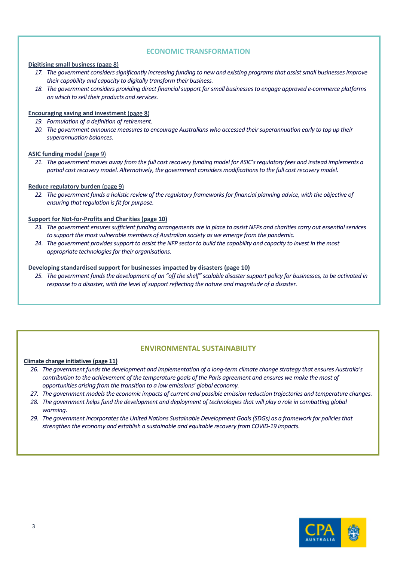#### **ECONOMIC TRANSFORMATION**

#### **[Digitising small business](#page-8-0)** (page 8)

- *17. The government considers significantly increasing funding to new and existing programs that assist small businesses improve their capability and capacity to digitally transform their business.*
- *18. The government considers providing direct financial support for small businesses to engage approved e-commerce platforms on which to sell their products and services.*

#### **[Encouraging saving and investment](#page-8-1)** (page 8)

- *19. Formulation of a definition of retirement.*
- *20. The government announce measures to encourage Australians who accessed their superannuation early to top up their superannuation balances.*

#### **[ASIC funding model](#page-9-0)** (page 9)

*21. The government moves away from the full cost recovery funding model for ASIC's regulatory fees and instead implements a partial cost recovery model. Alternatively, the government considers modifications to the full cost recovery model.*

#### **[Reduce regulatory burden](#page-9-1)** (page 9)

*22. The government funds a holistic review of the regulatory frameworks for financial planning advice, with the objective of ensuring that regulation is fit for purpose.*

#### **[Support for Not-for-Profits and Charities](#page-10-0) (page 10)**

- *23. The government ensures sufficient funding arrangements are in place to assist NFPs and charities carry out essential services to support the most vulnerable members of Australian society as we emerge from the pandemic.*
- *24. The government provides support to assist the NFP sector to build the capability and capacity to invest in the most appropriate technologies for their organisations.*

#### **[Developing standardised support for businesses impacted by disasters](#page-10-1) (page 10)**

*25. The government funds the development of an "off the shelf" scalable disaster support policy for businesses, to be activated in response to a disaster, with the level of support reflecting the nature and magnitude of a disaster.*

#### **ENVIRONMENTAL SUSTAINABILITY**

#### **[Climate change initiatives\(page 11\)](#page-11-0)**

- *26. The government funds the development and implementation of a long-term climate change strategy that ensures Australia's contribution to the achievement of the temperature goals of the Paris agreement and ensures we make the most of opportunities arising from the transition to a low emissions' global economy.*
- *27. The government models the economic impacts of current and possible emission reduction trajectories and temperature changes.*
- *28. The government helps fund the development and deployment of technologies that will play a role in combatting global warming.*
- *29. The government incorporates the United Nations Sustainable Development Goals (SDGs) as a framework for policies that strengthen the economy and establish a sustainable and equitable recovery from COVID-19 impacts.*

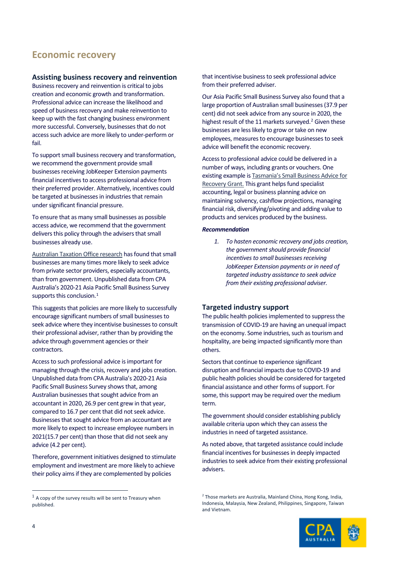### **Economic recovery**

#### <span id="page-4-0"></span>**Assisting business recovery and reinvention**

Business recovery and reinvention is critical to jobs creation and economic growth and transformation. Professional advice can increase the likelihood and speed of business recovery and make reinvention to keep up with the fast changing business environment more successful. Conversely, businesses that do not access such advice are more likely to under-perform or fail.

To support small business recovery and transformation, we recommend the government provide small businesses receiving JobKeeper Extension payments financial incentives to access professional advice from their preferred provider. Alternatively, incentives could be targeted at businesses in industries that remain under significant financial pressure.

To ensure that as many small businesses as possible access advice, we recommend that the government delivers this policy through the advisers that small businesses already use.

[Australian Taxation Office research](https://www.ato.gov.au/about-ato/research-and-statistics/in-detail/general-research/small-business-engagement-research-2017/) has found that small businesses are many times more likely to seek advice from private sector providers, especially accountants, than from government. Unpublished data from CPA Australia's 2020-21 Asia Pacific Small Business Survey supports this conclusion.<sup>[1](#page-4-2)</sup>

This suggests that policies are more likely to successfully encourage significant numbers of small businessesto seek advice where they incentivise businesses to consult their professional adviser, rather than by providing the advice through government agencies or their contractors.

Access to such professional advice is important for managing through the crisis, recovery and jobs creation. Unpublished data from CPA Australia's 2020-21 Asia Pacific Small Business Survey shows that, among Australian businesses that sought advice from an accountant in 2020, 26.9 per cent grew in that year, compared to 16.7 per cent that did not seek advice. Businesses that sought advice from an accountant are more likely to expect to increase employee numbers in 2021(15.7 per cent) than those that did not seek any advice (4.2 per cent).

Therefore, government initiatives designed to stimulate employment and investment are more likely to achieve their policy aims if they are complemented by policies

that incentivise business to seek professional advice from their preferred adviser.

Our Asia Pacific Small Business Survey also found that a large proportion of Australian small businesses(37.9 per cent) did not seek advice from any source in 2020, the highest result of the 11 markets surveyed. [2](#page-4-2) Given these businesses are less likely to grow or take on new employees, measures to encourage businesses to seek advice will benefit the economic recovery.

Access to professional advice could be delivered in a number of ways, including grants or vouchers. One existing example is [Tasmania's Small Business Advice for](https://www.business.tas.gov.au/covid-19_business_support_packages/small_business_advice_for_recovery_program)  [Recovery Grant.](https://www.business.tas.gov.au/covid-19_business_support_packages/small_business_advice_for_recovery_program) This grant helps fund specialist accounting, legal or business planning advice on maintaining solvency, cashflow projections, managing financial risk, diversifying/pivoting and adding value to products and services produced by the business.

#### *Recommendation*

*1. To hasten economic recovery and jobs creation, the government should provide financial incentives to small businesses receiving JobKeeper Extension payments or in need of targeted industry assistance to seek advice from their existing professional adviser.*

#### <span id="page-4-1"></span>**Targeted industry support**

The public health policies implemented to suppress the transmission of COVID-19 are having an unequal impact on the economy. Some industries, such as tourism and hospitality, are being impacted significantly more than others.

Sectors that continue to experience significant disruption and financial impacts due to COVID-19 and public health policies should be considered for targeted financial assistance and other forms of support. For some, this support may be required over the medium term.

The government should consider establishing publicly available criteria upon which they can assess the industries in need of targeted assistance.

As noted above, that targeted assistance could include financial incentives for businesses in deeply impacted industries to seek advice from their existing professional advisers.

<sup>&</sup>lt;sup>2</sup> Those markets are Australia, Mainland China, Hong Kong, India, Indonesia, Malaysia, New Zealand, Philippines, Singapore, Taiwan and Vietnam.



<span id="page-4-2"></span> $1$  A copy of the survey results will be sent to Treasury when published.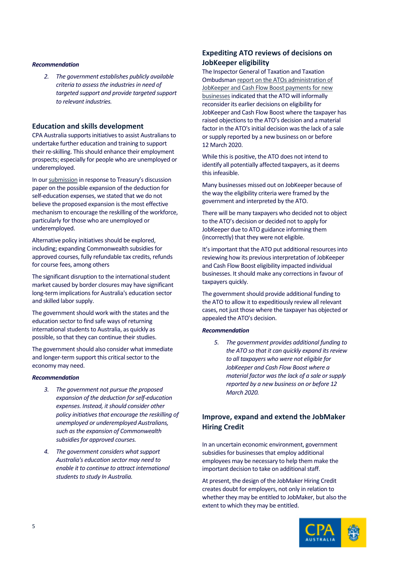#### *Recommendation*

*2. The government establishes publicly available criteria to assess the industries in need of targeted support and provide targeted support to relevant industries.*

#### <span id="page-5-0"></span>**Education and skills development**

CPA Australia supports initiatives to assist Australians to undertake further education and training to support their re-skilling. This should enhance their employment prospects; especially for people who are unemployed or underemployed.

In ou[r submission](https://www.cpaaustralia.com.au/-/media/corporate/allfiles/document/media/submissions/taxation/treasury-education-expense-deductions-cpa-australia-submission-jan2021.pdf?la=en&rev=4884247cc5ad413ebc3ce1253fc89ea9) in response to Treasury's discussion paper on the possible expansion of the deduction for self-education expenses, we stated that we do not believe the proposed expansion is the most effective mechanism to encourage the reskilling of the workforce, particularly for those who are unemployed or underemployed.

Alternative policy initiatives should be explored, including; expanding Commonwealth subsidies for approved courses, fully refundable tax credits, refunds for course fees, among others

The significant disruption to the international student market caused by border closures may have significant long-term implications for Australia's education sector and skilled labor supply.

The government should work with the states and the education sector to find safe ways of returning international students to Australia, as quickly as possible, so that they can continue their studies.

The government should also consider what immediate and longer-term support this critical sector to the economy may need.

#### *Recommendation*

- *3. The government not pursue the proposed expansion of the deduction for self-education expenses. Instead, it should consider other policy initiatives that encourage the reskilling of unemployed or underemployed Australians, such as the expansion of Commonwealth subsidies for approved courses.*
- <span id="page-5-1"></span>*4. The government considers what support Australia's education sector may need to enable it to continue to attract international students to study In Australia.*

#### **Expediting ATO reviews of decisions on JobKeeper eligibility**

The Inspector General of Taxation and Taxation Ombudsma[n report on the ATOs administration of](https://www.igt.gov.au/sites/default/files/2020-12/IGTO%20Report%20on%20Administration%20of%20JobKeeper%20and%20Boosting%20Cash%20Flow%20-%20December%202020_0.pdf)  [JobKeeper and Cash Flow Boost payments for new](https://www.igt.gov.au/sites/default/files/2020-12/IGTO%20Report%20on%20Administration%20of%20JobKeeper%20and%20Boosting%20Cash%20Flow%20-%20December%202020_0.pdf)  [businesses](https://www.igt.gov.au/sites/default/files/2020-12/IGTO%20Report%20on%20Administration%20of%20JobKeeper%20and%20Boosting%20Cash%20Flow%20-%20December%202020_0.pdf)indicated that the ATO will informally reconsider its earlier decisions on eligibility for JobKeeper and Cash Flow Boost where the taxpayer has raised objections to the ATO's decision and a material factor in the ATO's initial decision was the lack of a sale or supply reported by a new business on or before 12 March 2020.

While this is positive, the ATO does not intend to identify all potentially affected taxpayers, as it deems this infeasible.

Many businesses missed out on JobKeeper because of the way the eligibility criteria were framed by the government and interpreted by the ATO.

There will be many taxpayers who decided not to object to the ATO's decision or decided not to apply for JobKeeper due to ATO guidance informing them (incorrectly) that they were not eligible.

It's important that the ATO put additional resources into reviewing how its previous interpretation of JobKeeper and Cash Flow Boost eligibility impacted individual businesses. It should make any corrections in favour of taxpayers quickly.

The government should provide additional funding to the ATO to allow it to expeditiously review all relevant cases, not just those where the taxpayer has objected or appealed the ATO's decision.

#### *Recommendation*

*5. The government provides additional funding to the ATO so that it can quickly expand its review to all taxpayers who were not eligible for JobKeeper and Cash Flow Boost where a material factor was the lack of a sale or supply reported by a new business on or before 12 March 2020.*

#### <span id="page-5-2"></span>**Improve, expand and extend the JobMaker Hiring Credit**

In an uncertain economic environment, government subsidies for businesses that employ additional employees may be necessary to help them make the important decision to take on additional staff.

At present, the design of the JobMaker Hiring Credit creates doubt for employers, not only in relation to whether they may be entitled to JobMaker, but also the extent to which they may be entitled.

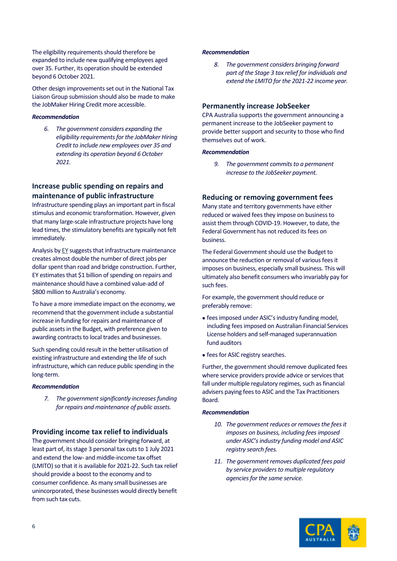The eligibility requirements should therefore be expanded to include new qualifying employees aged over 35. Further, its operation should be extended beyond 6 October 2021.

Other design improvements set out in the National Tax Liaison Grou[p submission](https://www.cpaaustralia.com.au/-/media/corporate/allfiles/document/media/submissions/taxation/joint-bodies-submission-jobmaker-hiring-credit-exposure-draft-rules.pdf?la=en&rev=f369607ac3664e83a44863e48ec4d240) should also be made to make the JobMaker Hiring Credit more accessible.

#### *Recommendation*

*6. The government considers expanding the eligibility requirements for the JobMaker Hiring Credit to include new employees over 35 and extending its operation beyond 6 October 2021.*

#### <span id="page-6-0"></span>**Increase public spending on repairs and maintenance of public infrastructure**

Infrastructure spending plays an important part in fiscal stimulus and economic transformation. However, given that many large-scale infrastructure projects have long lead times, the stimulatory benefits are typically not felt immediately.

Analysis by [EY](https://www.ey.com/en_au/economics/infrastructure-boost--shovel-ready-but-not-shovel-only) suggests that infrastructure maintenance creates almost double the number of direct jobs per dollar spent than road and bridge construction. Further, EY estimates that \$1 billion of spending on repairs and maintenance should have a combined value-add of \$800 million to Australia's economy.

To have a more immediate impact on the economy, we recommend that the government include a substantial increase in funding for repairs and maintenance of public assets in the Budget, with preference given to awarding contracts to local trades and businesses.

Such spending could result in the better utilisation of existing infrastructure and extending the life of such infrastructure, which can reduce public spending in the long-term.

#### *Recommendation*

*7. The government significantly increasesfunding for repairs and maintenance of public assets.*

#### <span id="page-6-1"></span>**Providing income tax relief to individuals**

The government should consider bringing forward, at least part of, its stage 3 personal tax cuts to 1 July 2021 and extend the low- and middle-income tax offset (LMITO) so that it is available for 2021-22. Such tax relief should provide a boost to the economy and to consumer confidence. As many small businesses are unincorporated, these businesses would directly benefit from such tax cuts.

#### *Recommendation*

*8. The government considers bringing forward part of the Stage 3 tax relief for individuals and extend the LMITO for the 2021-22 income year.*

#### <span id="page-6-2"></span>**Permanently increase JobSeeker**

CPA Australia supports the government announcing a permanent increase to the JobSeeker payment to provide better support and security to those who find themselves out of work.

#### *Recommendation*

*9. The government commitsto a permanent increase to the JobSeeker payment.*

#### <span id="page-6-3"></span>**Reducing or removing government fees**

Many state and territory governments have either reduced or waived fees they impose on business to assist them through COVID-19. However, to date, the Federal Government has not reduced its fees on **busingss** 

The Federal Government should use the Budget to announce the reduction or removal of various fees it imposes on business, especially small business. This will ultimately also benefit consumers who invariably pay for such fees.

For example, the government should reduce or preferably remove:

- fees imposed under ASIC's industry funding model, including fees imposed on Australian Financial Services License holders and self-managed superannuation fund auditors
- fees for ASIC registry searches.

Further, the government should remove duplicated fees where service providers provide advice or services that fall under multiple regulatory regimes, such as financial advisers paying fees to ASIC and the Tax Practitioners **Board** 

#### *Recommendation*

- 10. The government reduces or removes the fees it *imposes on business, including fees imposed under ASIC's industry funding model and ASIC registry search fees.*
- *11. The government removes duplicated fees paid by service providers to multiple regulatory agencies for the same service.*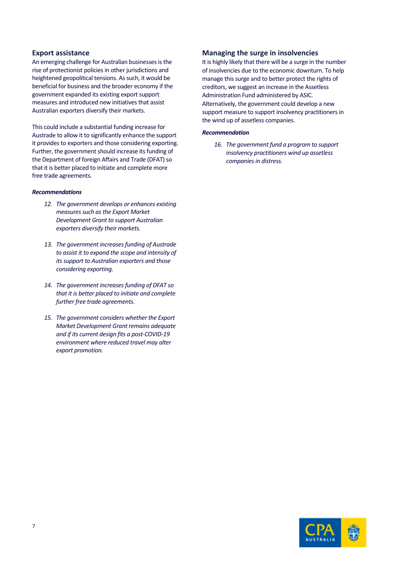#### <span id="page-7-0"></span>**Export assistance**

An emerging challenge for Australian businesses is the rise of protectionist policies in other jurisdictions and heightened geopolitical tensions. As such, it would be beneficial for business and the broader economy if the government expanded its existing export support measures and introduced new initiatives that assist Australian exporters diversify their markets.

This could include a substantial funding increase for Austrade to allow it to significantly enhance the support it provides to exporters and those considering exporting. Further, the government should increase its funding of the Department of foreign Affairs and Trade (DFAT) so that it is better placed to initiate and complete more free trade agreements.

#### *Recommendations*

- *12. The government develops or enhances existing measures such as the Export Market Development Grant to support Australian exporters diversify their markets.*
- *13. The government increases funding of Austrade to assist it to expand the scope and intensity of its support to Australian exporters and those considering exporting.*
- *14. The government increases funding of DFAT so that it is better placed to initiate and complete further free trade agreements.*
- <span id="page-7-1"></span>*15. The government considers whether the Export Market Development Grant remains adequate and if its current design fits a post-COVID-19 environment where reduced travel may alter export promotion.*

#### **Managing the surge in insolvencies**

It is highly likely that there will be a surge in the number of insolvencies due to the economic downturn. To help manage this surge and to better protect the rights of creditors, we suggest an increase in the Assetless Administration Fund administered by ASIC. Alternatively, the government could develop a new support measure to support insolvency practitioners in the wind up of assetless companies.

#### *Recommendation*

*16. The government fund a program to support insolvency practitioners wind up assetless companies in distress.*

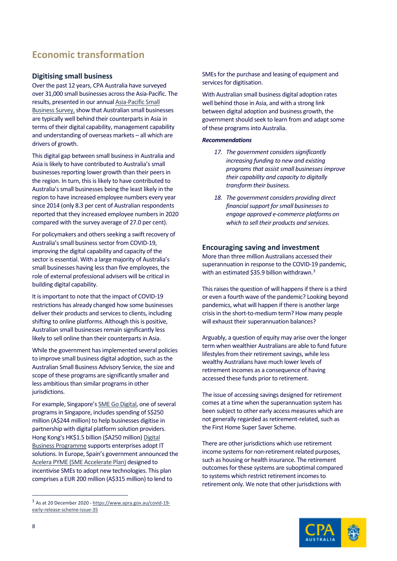## **Economic transformation**

#### <span id="page-8-0"></span>**Digitising small business**

Over the past 12 years, CPA Australia have surveyed over 31,000 small businesses across the Asia-Pacific. The results, presented in our annua[l Asia-Pacific Small](https://www.cpaaustralia.com.au/professional-resources/business-management/small-business/asia-pacific-small-business-survey)  [Business Survey,](https://www.cpaaustralia.com.au/professional-resources/business-management/small-business/asia-pacific-small-business-survey) show that Australian small businesses are typically well behind their counterparts in Asia in terms of their digital capability, management capability and understanding of overseas markets – all which are drivers of growth.

This digital gap between small business in Australia and Asia is likely to have contributed to Australia's small businesses reporting lower growth than their peers in the region. In turn, this is likely to have contributed to Australia's small businesses being the least likely in the region to have increased employee numbers every year since 2014 (only 8.3 per cent of Australian respondents reported that they increased employee numbers in 2020 compared with the survey average of 27.0 per cent).

For policymakers and others seeking a swift recovery of Australia's small business sector from COVID-19, improving the digital capability and capacity of the sector is essential. With a large majority of Australia's small businesses having less than five employees, the role of external professional advisers will be critical in building digital capability.

It is important to note that the impact of COVID-19 restrictions has already changed how some businesses deliver their products and services to clients, including shifting to online platforms. Although this is positive, Australian small businesses remain significantly less likely to sell online than their counterparts in Asia.

While the government has implemented several policies to improve small business digital adoption, such as the Australian Small Business Advisory Service, the size and scope of these programs are significantly smaller and less ambitious than similar programs in other jurisdictions.

For example, Singapore'[s SME Go Digital,](https://www.imda.gov.sg/programme-listing/smes-go-digital) one of several programs in Singapore, includes spending of S\$250 million (A\$244 million) to help businesses digitise in partnership with digital platform solution providers. Hong Kong's HK\$1.5 billion (\$A250 million[\) Digital](https://www.hkpc.org/en/distance-business-programme)  [Business Programme](https://www.hkpc.org/en/distance-business-programme) supports enterprises adopt IT solutions. In Europe, Spain's government announced the [Acelera PYME \(SME Accelerate Plan\)](https://www.oecd.org/coronavirus/policy-responses/coronavirus-covid-19-sme-policy-responses-04440101/) designed to incentivise SMEs to adopt new technologies. This plan comprises a EUR 200 million (A\$315 million) to lend to

SMEs for the purchase and leasing of equipment and services for digitisation.

With Australian small business digital adoption rates well behind those in Asia, and with a strong link between digital adoption and business growth, the government should seek to learn from and adapt some of these programs into Australia.

#### *Recommendations*

- 17. The government considers significantly *increasing funding to new and existing programs that assist small businesses improve their capability and capacity to digitally transform their business.*
- *18. The government considers providing direct financial support for small businesses to engage approved e-commerce platforms on which to sell their products and services.*

#### <span id="page-8-1"></span>**Encouraging saving and investment**

More than three million Australians accessed their superannuation in response to the COVID-19 pandemic, with an estimated \$[3](#page-8-2)5.9 billion withdrawn.<sup>3</sup>

This raises the question of will happens if there is a third or even a fourth wave of the pandemic? Looking beyond pandemics, what will happen if there is another large crisis in the short-to-medium term? How many people will exhaust their superannuation balances?

Arguably, a question of equity may arise over the longer term when wealthier Australians are able to fund future lifestyles from their retirement savings, while less wealthy Australians have much lower levels of retirement incomes as a consequence of having accessed these funds prior to retirement.

The issue of accessing savings designed for retirement comes at a time when the superannuation system has been subject to other early access measures which are not generally regarded as retirement-related, such as the First Home Super Saver Scheme.

There are other jurisdictions which use retirement income systems for non-retirement related purposes, such as housing or health insurance. The retirement outcomes for these systems are suboptimal compared to systems which restrict retirement incomes to retirement only. We note that other jurisdictions with



<span id="page-8-2"></span><sup>3</sup> As at 20 December 2020 - [https://www.apra.gov.au/covid-19](https://www.apra.gov.au/covid-19-early-release-scheme-issue-35) [early-release-scheme-issue-35](https://www.apra.gov.au/covid-19-early-release-scheme-issue-35)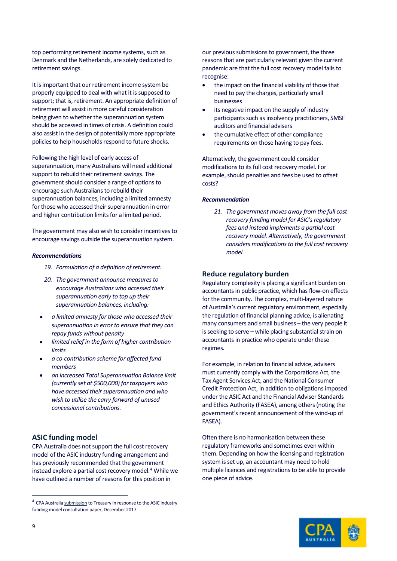top performing retirement income systems, such as Denmark and the Netherlands, are solely dedicated to retirement savings.

It is important that our retirement income system be properly equipped to deal with what it is supposed to support; that is, retirement. An appropriate definition of retirement will assist in more careful consideration being given to whether the superannuation system should be accessed in times of crisis. A definition could also assist in the design of potentially more appropriate policies to help households respond to future shocks.

Following the high level of early access of superannuation, many Australians will need additional support to rebuild their retirement savings. The government should consider a range of optionsto encourage such Australians to rebuild their superannuation balances, including a limited amnesty for those who accessed their superannuation in error and higher contribution limits for a limited period.

The government may also wish to consider incentives to encourage savings outside the superannuation system.

#### *Recommendations*

- *19. Formulation of a definition of retirement.*
- *20. The government announce measures to encourage Australians who accessed their superannuation early to top up their superannuation balances, including:*
- *a limited amnesty for those who accessed their superannuation in error to ensure that they can repay funds without penalty*
- *limited relief in the form of higher contribution limits*
- *a co-contribution scheme for affected fund members*
- *an increased Total Superannuation Balance limit (currently set at \$500,000) for taxpayers who have accessed their superannuation and who wish to utilise the carry forward of unused concessional contributions.*

#### <span id="page-9-0"></span>**ASIC funding model**

CPA Australia does not support the full cost recovery model of the ASIC industry funding arrangement and has previously recommended that the government instead explore a partial cost recovery model. [4](#page-9-2) While we have outlined a number of reasons for this position in

our previous submissions to government, the three reasons that are particularly relevant given the current pandemic are that the full cost recovery model fails to recognise:

- the impact on the financial viability of those that need to pay the charges, particularly small businesses
- its negative impact on the supply of industry participants such as insolvency practitioners, SMSF auditors and financial advisers
- the cumulative effect of other compliance requirements on those having to pay fees.

Alternatively, the government could consider modifications to its full cost recovery model. For example, should penalties and fees be used to offset costs?

#### *Recommendation*

*21. The government moves away from the full cost recovery funding model for ASIC's regulatory fees and instead implements a partial cost recovery model. Alternatively, the government considers modifications to the full cost recovery model.*

#### <span id="page-9-1"></span>**Reduce regulatory burden**

Regulatory complexity is placing a significant burden on accountants in public practice, which has flow-on effects for the community. The complex, multi-layered nature of Australia's current regulatory environment, especially the regulation of financial planning advice, is alienating many consumers and small business – the very people it is seeking to serve – while placing substantial strain on accountants in practice who operate under these regimes.

For example, in relation to financial advice, advisers must currently comply with the Corporations Act, the Tax Agent Services Act, and the National Consumer Credit Protection Act, In addition to obligations imposed under the ASIC Act and the Financial Adviser Standards and Ethics Authority (FASEA), among others(noting the government's recent announcement of the wind-up of FASEA).

Often there is no harmonisation between these regulatory frameworks and sometimes even within them. Depending on how the licensing and registration system is set up, an accountant may need to hold multiple licences and registrations to be able to provide one piece of advice.



<span id="page-9-2"></span><sup>4</sup> CPA Australi[a submission](https://www.cpaaustralia.com.au/%7E/media/corporate/allfiles/document/media/submissions/superannuation/asic-fees-for-service.pdf?la=en) to Treasury in response to the ASIC industry funding model consultation paper, December 2017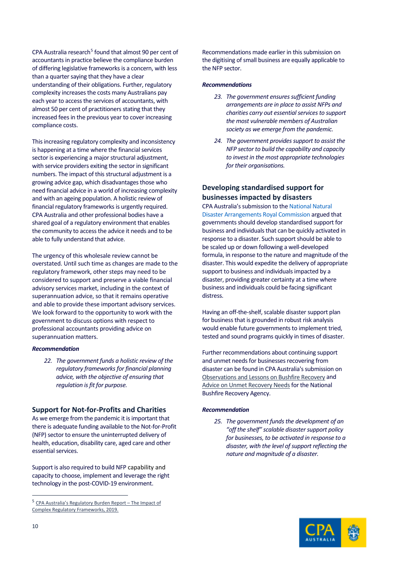CPA Australi[a research](https://www.cpaaustralia.com.au/-/media/corporate/allfiles/document/professional-resources/public-practice/regulatory-burden-report.pdf?la=en&rev=58ca80fd16b14e9d913a47fbe63fe2c8)<sup>[5](#page-10-2)</sup> found that almost 90 per cent of accountants in practice believe the compliance burden of differing legislative frameworks is a concern, with less than a quarter saying that they have a clear understanding of their obligations. Further, regulatory complexity increases the costs many Australians pay each year to access the services of accountants, with almost 50 per cent of practitioners stating that they increased fees in the previous year to cover increasing compliance costs.

This increasing regulatory complexity and inconsistency is happening at a time where the financial services sector is experiencing a major structural adjustment, with service providers exiting the sector in significant numbers. The impact of this structural adjustment is a growing advice gap, which disadvantages those who need financial advice in a world of increasing complexity and with an ageing population. A holistic review of financial regulatory frameworks is urgently required. CPA Australia and other professional bodies have a share[d goal](https://www.cpaaustralia.com.au/public-practice/toolkit/regulatory-burden/advocating-better-regulatory-frameworks) of a regulatory environment that enables the community to access the advice it needs and to be able to fully understand that advice.

The urgency of this wholesale review cannot be overstated. Until such time as changes are made to the regulatory framework, other steps may need to be considered to support and preserve a viable financial advisory services market, including in the context of superannuation advice, so that it remains operative and able to provide these important advisory services. We look forward to the opportunity to work with the government to discuss options with respect to professional accountants providing advice on superannuation matters.

#### *Recommendation*

*22. The government funds a holistic review of the regulatory frameworks for financial planning advice, with the objective of ensuring that regulation is fit for purpose.*

#### <span id="page-10-0"></span>**Support for Not-for-Profits and Charities**

As we emerge from the pandemic it is important that there is adequate funding available to the Not-for-Profit (NFP) sector to ensure the uninterrupted delivery of health, education, disability care, aged care and other essential services.

Support is also required to build NFP capability and capacity to choose, implement and leverage the right technology in the post-COVID-19 environment.

Recommendations made earlier in this submission on the digitising of small business are equally applicable to the NFP sector.

#### *Recommendations*

- 23. The government ensures sufficient funding *arrangements are in place to assist NFPs and charities carry out essential services to support the most vulnerable members of Australian society as we emerge from the pandemic.*
- 24. The government provides support to assist the *NFP sector to build the capability and capacity to invest in the most appropriate technologies for their organisations.*

#### <span id="page-10-1"></span>**Developing standardised support for businesses impacted by disasters**

CPA Australia's submission to th[e National Natural](https://www.cpaaustralia.com.au/-/media/corporate/allfiles/document/media/submissions/esg/natural-disaster-response-rc.pdf?la=en&rev=fe27525c48fc4076a89f407d98024115)  [Disaster Arrangements Royal Commission](https://www.cpaaustralia.com.au/-/media/corporate/allfiles/document/media/submissions/esg/natural-disaster-response-rc.pdf?la=en&rev=fe27525c48fc4076a89f407d98024115) argued that governments should develop standardised support for business and individuals that can be quickly activated in response to a disaster. Such support should be able to be scaled up or down following a well-developed formula, in response to the nature and magnitude of the disaster. This would expedite the delivery of appropriate support to business and individuals impacted by a disaster, providing greater certainty at a time where business and individuals could be facing significant distress.

Having an off-the-shelf, scalable disaster support plan for business that is grounded in robust risk analysis would enable future governments to implement tried, tested and sound programs quickly in times of disaster.

Further recommendations about continuing support and unmet needs for businesses recovering from disaster can be found in CPA Australia's submission on [Observations and Lessons on Bushfire Recovery](https://www.cpaaustralia.com.au/-/media/corporate/allfiles/document/media/submissions/cross-policy/bushfire-recovery-lesson-submission.pdf?la=en&rev=e6bf031cba524c2aa33f5941f4c0cae0) and Advice on Unmet Recovery Needs for the National Bushfire Recovery Agency.

#### *Recommendation*

25. The government funds the development of an *"off the shelf" scalable disaster support policy for businesses, to be activated in response to a disaster, with the level of support reflecting the nature and magnitude of a disaster.*



<span id="page-10-2"></span><sup>5</sup> [CPA Australia's Regulatory Burden Report –](https://www.cpaaustralia.com.au/-/media/corporate/allfiles/document/professional-resources/public-practice/regulatory-burden-report.pdf?la=en&rev=58ca80fd16b14e9d913a47fbe63fe2c8) The Impact of [Complex Regulatory Frameworks, 2019.](https://www.cpaaustralia.com.au/-/media/corporate/allfiles/document/professional-resources/public-practice/regulatory-burden-report.pdf?la=en&rev=58ca80fd16b14e9d913a47fbe63fe2c8)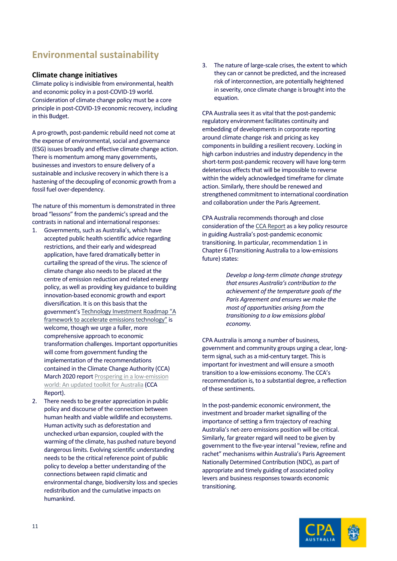## <span id="page-11-0"></span>**Environmental sustainability**

#### **Climate change initiatives**

Climate policy is indivisible from environmental, health and economic policy in a post-COVID-19 world. Consideration of climate change policy must be a core principle in post-COVID-19 economic recovery, including in this Budget.

A pro-growth, post-pandemic rebuild need not come at the expense of environmental, social and governance (ESG) issues broadly and effective climate change action. There is momentum among many governments, businesses and investors to ensure delivery of a sustainable and inclusive recovery in which there is a hastening of the decoupling of economic growth from a fossil fuel over-dependency.

The nature of this momentum is demonstrated in three broad "lessons" from the pandemic's spread and the contrasts in national and international responses:

- 1. Governments, such as Australia's, which have accepted public health scientific advice regarding restrictions, and their early and widespread application, have fared dramatically better in curtailing the spread of the virus. The science of climate change also needs to be placed at the centre of emission reduction and related energy policy, as well as providing key guidance to building innovation-based economic growth and export diversification. It is on this basis that the government'[s Technology Investment Roadmap "A](https://consult.industry.gov.au/climate-change/technology-investment-roadmap/)  [framework to accelerate emissions technology"](https://consult.industry.gov.au/climate-change/technology-investment-roadmap/) is welcome, though we urge a fuller, more comprehensive approach to economic transformation challenges. Important opportunities will come from government funding the implementation of the recommendations contained in the Climate Change Authority (CCA) March 2020 report [Prospering in a low-emission](https://www.climatechangeauthority.gov.au/sites/default/files/2020-09/Prospering%20in%20a%20low-emissions%20world.pdf)  [world: An updated toolkit for Australia](https://www.climatechangeauthority.gov.au/sites/default/files/2020-09/Prospering%20in%20a%20low-emissions%20world.pdf) (CCA Report).
- 2. There needs to be greater appreciation in public policy and discourse of the connection between human health and viable wildlife and ecosystems. Human activity such as deforestation and unchecked urban expansion, coupled with the warming of the climate, has pushed nature beyond dangerous limits. Evolving scientific understanding needs to be the critical reference point of public policy to develop a better understanding of the connections between rapid climatic and environmental change, biodiversity loss and species redistribution and the cumulative impacts on humankind.

3. The nature of large-scale crises, the extent to which they can or cannot be predicted, and the increased risk of interconnection, are potentially heightened in severity, once climate change is brought into the equation.

CPA Australia sees it as vital that the post-pandemic regulatory environment facilitates continuity and embedding of developments in corporate reporting around climate change risk and pricing as key components in building a resilient recovery. Locking in high carbon industries and industry dependency in the short-term post-pandemic recovery will have long-term deleterious effects that will be impossible to reverse within the widely acknowledged timeframe for climate action. Similarly, there should be renewed and strengthened commitment to international coordination and collaboration under the Paris Agreement.

CPA Australia recommends thorough and close consideration of the [CCA Report](https://www.climatechangeauthority.gov.au/sites/default/files/2020-06/toolkit-2020/Prospering%20in%20a%20low-emissions%20world.pdf) as a key policy resource in guiding Australia's post-pandemic economic transitioning. In particular, recommendation 1 in Chapter 6 (Transitioning Australia to a low-emissions future) states:

> *Develop a long-term climate change strategy that ensures Australia's contribution to the achievement of the temperature goals of the Paris Agreement and ensures we make the most of opportunities arising from the transitioning to a low emissions global economy.*

CPA Australia is among a number of business, government and community groups urging a clear, longterm signal, such as a mid-century target. This is important for investment and will ensure a smooth transition to a low-emissions economy. The CCA's recommendation is, to a substantial degree, a reflection of these sentiments.

In the post-pandemic economic environment, the investment and broader market signalling of the importance of setting a firm trajectory of reaching Australia's net-zero emissions position will be critical. Similarly, far greater regard will need to be given by government to the five-year interval "review, refine and rachet" mechanisms within Australia's Paris Agreement Nationally Determined Contribution (NDC), as part of appropriate and timely guiding of associated policy levers and business responses towards economic transitioning.

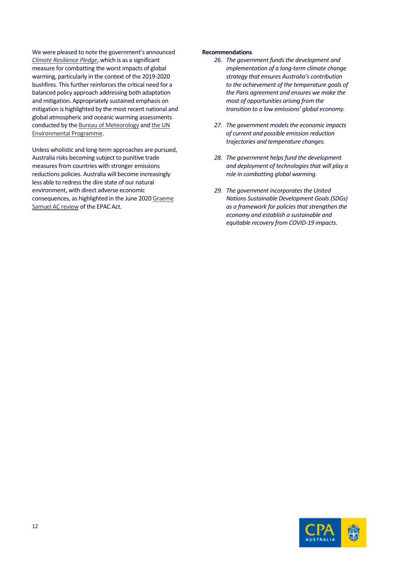We were pleased to note the government's announced *[Climate Resilience Pledge](https://minister.awe.gov.au/ley/media-releases/australia-commits-climate-resilience)*, which is as a significant measure for combatting the worst impacts of global warming, particularly in the context of the 2019-2020 bushfires. This further reinforces the critical need for a balanced policy approach addressing both adaptation and mitigation. Appropriately sustained emphasis on mitigation is highlighted by the most recent national and global atmospheric and oceanic warming assessments conducted by th[e Bureau of Meteorology](http://www.bom.gov.au/state-of-the-climate/) and the UN Environmental Programme.

Unless wholistic and long-term approaches are pursued, Australia risks becoming subject to punitive trade measures from countries with stronger emissions reductions policies. Australia will become increasingly less able to redress the dire state of our natural environment, with direct adverse economic consequences, as highlighted in the June 202[0 Graeme](https://epbcactreview.environment.gov.au/)  [Samuel AC review](https://epbcactreview.environment.gov.au/) of the EPAC Act.

#### **Recommendations**

- 26. The government funds the development and *implementation of a long-term climate change strategy that ensures Australia's contribution to the achievement of the temperature goals of the Paris agreement and ensures we make the most of opportunities arising from the transition to a low emissions' global economy.*
- 27. The government models the economic impacts *of current and possible emission reduction trajectories and temperature changes.*
- *28. The government helpsfund the development and deployment of technologies that will play a role in combatting global warming.*
- 29. The government incorporates the United *Nations Sustainable Development Goals(SDGs) as a framework for policies that strengthen the economy and establish a sustainable and equitable recovery from COVID-19 impacts.*